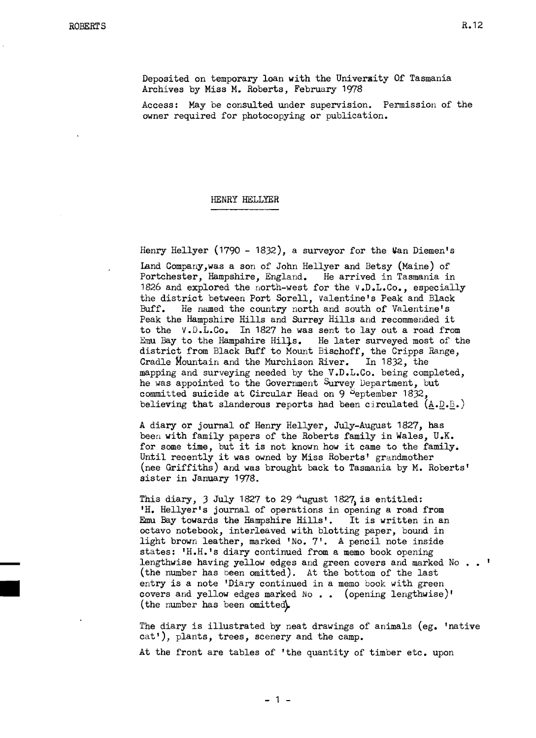Deposited on temporary loan with the University Of Tasmania Archives by Miss M. Roberts, February 1978

Access: May be consulted under supervision. Permission of the owner required for photocopying or publication.

## HENRY HELLYER

Henry Hellyer (1790 - 1832), a surveyor for the  $Van$  Diemen's

land CompanY,was a son of John Hellyer and Betsy (Maine) of Portchester, Hampshire, England. He arrived in Tasmania in 1826 and explored the north-west for the V.D.L.Co., especially the district between Port Sorell, Valentine's Peak and Black<br>Buff. He named the country north and south of Valentine's He named the country north and south of Valentine's Peak the Hampshire Hills and Surrey Hills and recommended it to the V.D.L.Co. In 1827 he was sent to layout a road from Emu Bay to the Hampshire Hills. He later surveyed most of the district from Black Buff to Mount Bischoff, the Cripps Range, Cradle Mountain and the Murchison River. In 1832, the mapping and surveying needed by the V.D.L.Co. being completed, he was appointed to the Government Survey Department, but committed suicide at Circular Head on  $9^{\circ}$ Peptember 1832, believing that slanderous reports had been circulated  $(A.D.B.)$ 

A diary or journal of Henry Hellyer, July-August 1827, has been with family papers of the Roberts family in Wales, U.K. for some time, but it is not known how it came to the family. Until recently it was owned by Miss Roberts' grandmother (nee Griffiths) and was brought back to Tasmania by M. Roberts' sister in January 1978.

This diary, 3 July 1827 to 29  $\text{``ugust 1827}$  is entitled: 'H. Hellyer's journal of operations in opening a road from Emu Bay towards the Hampshire Hills'. It is written in an octavo notebook, interleaved with blotting paper, bound in light brown leather, marked 'No.7'. A pencil note inside states: 'H.H.'s diary continued from a memo book opening states: 'H.H.'s diary continued from a memo book opening<br>lengthwise having yellow edges and green covers and marked No<br>(the number has been omitted). At the bottom of the last entry is a note 'Diary continued in a memo book with green covers and yellow edges marked  $No . .$  (opening lengthwise)' (the number has been omitted).

> The diary is illustrated by neat drawings of animals (eg. 'native cat'), plants, trees, scenery and the camp.

At the front are tables of 'the quantity of timber etc. upon